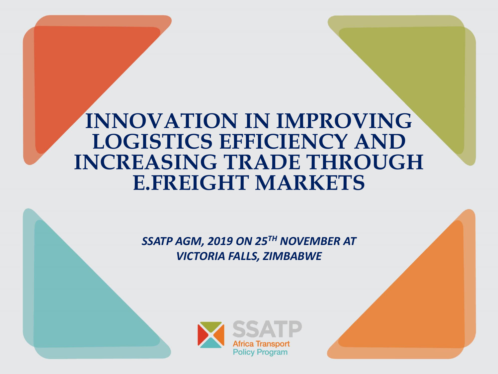## **INNOVATION IN IMPROVING LOGISTICS EFFICIENCY AND INCREASING TRADE THROUGH E.FREIGHT MARKETS**

*SSATP AGM, 2019 ON 25TH NOVEMBER AT VICTORIA FALLS, ZIMBABWE*

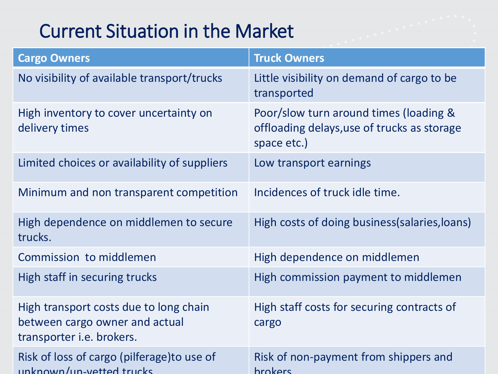# Current Situation in the Market

| <b>Cargo Owners</b>                                                                                          | <b>Truck Owners</b>                                                                                  |
|--------------------------------------------------------------------------------------------------------------|------------------------------------------------------------------------------------------------------|
| No visibility of available transport/trucks                                                                  | Little visibility on demand of cargo to be<br>transported                                            |
| High inventory to cover uncertainty on<br>delivery times                                                     | Poor/slow turn around times (loading &<br>offloading delays, use of trucks as storage<br>space etc.) |
| Limited choices or availability of suppliers                                                                 | Low transport earnings                                                                               |
| Minimum and non transparent competition                                                                      | Incidences of truck idle time.                                                                       |
| High dependence on middlemen to secure<br>trucks.                                                            | High costs of doing business (salaries, loans)                                                       |
| Commission to middlemen                                                                                      | High dependence on middlemen                                                                         |
| High staff in securing trucks                                                                                | High commission payment to middlemen                                                                 |
| High transport costs due to long chain<br>between cargo owner and actual<br>transporter <i>i.e.</i> brokers. | High staff costs for securing contracts of<br>cargo                                                  |
| Risk of loss of cargo (pilferage) to use of<br>unknown/un-vetted trucks                                      | Risk of non-payment from shippers and<br><b>hrokers</b>                                              |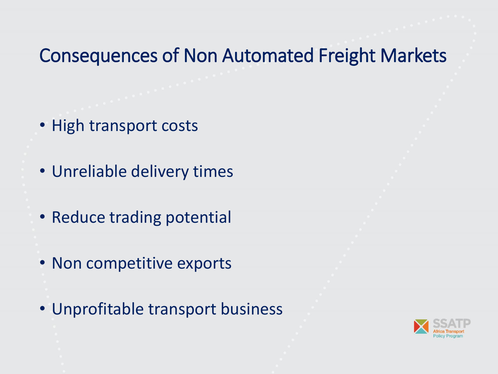#### Consequences of Non Automated Freight Markets

- High transport costs
- Unreliable delivery times
- Reduce trading potential
- Non competitive exports
- Unprofitable transport business

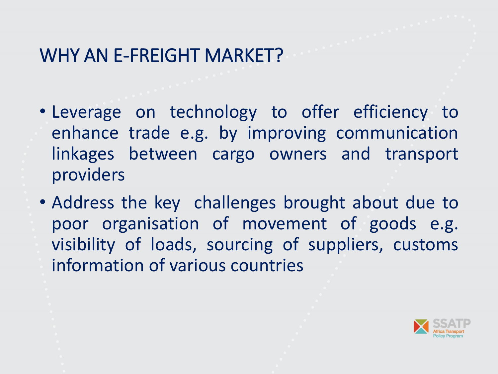## WHY AN E-FREIGHT MARKET?

- Leverage on technology to offer efficiency to enhance trade e.g. by improving communication linkages between cargo owners and transport providers
- Address the key challenges brought about due to poor organisation of movement of goods e.g. visibility of loads, sourcing of suppliers, customs information of various countries

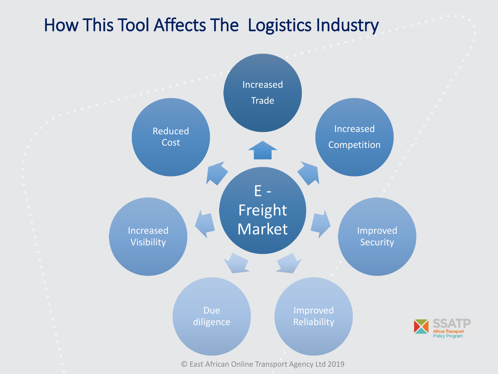#### How This Tool Affects The Logistics Industry

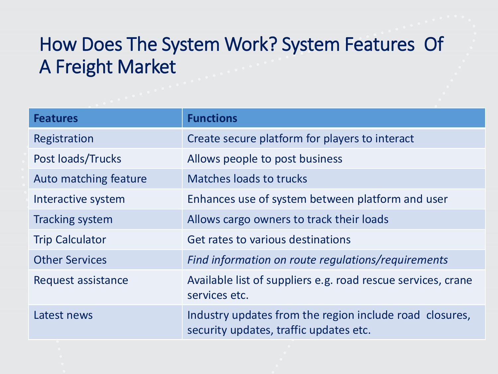# How Does The System Work? System Features Of A Freight Market

| <b>Features</b>           | <b>Functions</b>                                                                                  |
|---------------------------|---------------------------------------------------------------------------------------------------|
| Registration              | Create secure platform for players to interact                                                    |
| Post loads/Trucks         | Allows people to post business                                                                    |
| Auto matching feature     | <b>Matches loads to trucks</b>                                                                    |
| Interactive system        | Enhances use of system between platform and user                                                  |
| <b>Tracking system</b>    | Allows cargo owners to track their loads                                                          |
| <b>Trip Calculator</b>    | Get rates to various destinations                                                                 |
| <b>Other Services</b>     | Find information on route regulations/requirements                                                |
| <b>Request assistance</b> | Available list of suppliers e.g. road rescue services, crane<br>services etc.                     |
| Latest news               | Industry updates from the region include road closures,<br>security updates, traffic updates etc. |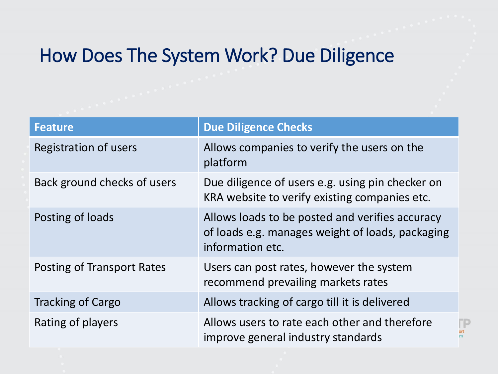#### How Does The System Work? Due Diligence

| <b>Feature</b>              | <b>Due Diligence Checks</b>                                                                                             |
|-----------------------------|-------------------------------------------------------------------------------------------------------------------------|
| Registration of users       | Allows companies to verify the users on the<br>platform                                                                 |
| Back ground checks of users | Due diligence of users e.g. using pin checker on<br>KRA website to verify existing companies etc.                       |
| Posting of loads            | Allows loads to be posted and verifies accuracy<br>of loads e.g. manages weight of loads, packaging<br>information etc. |
| Posting of Transport Rates  | Users can post rates, however the system<br>recommend prevailing markets rates                                          |
| <b>Tracking of Cargo</b>    | Allows tracking of cargo till it is delivered                                                                           |
| Rating of players           | Allows users to rate each other and therefore<br>improve general industry standards                                     |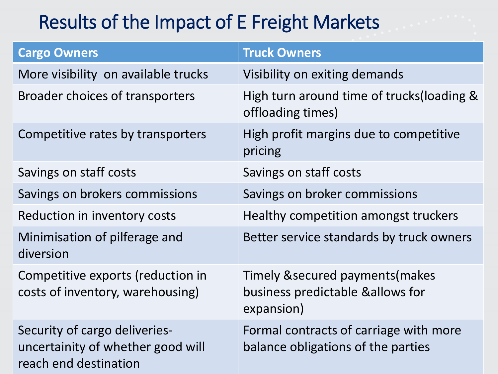# Results of the Impact of E Freight Markets

| <b>Cargo Owners</b>                                                                         | <b>Truck Owners</b>                                                                 |
|---------------------------------------------------------------------------------------------|-------------------------------------------------------------------------------------|
| More visibility on available trucks                                                         | Visibility on exiting demands                                                       |
| <b>Broader choices of transporters</b>                                                      | High turn around time of trucks(loading &<br>offloading times)                      |
| Competitive rates by transporters                                                           | High profit margins due to competitive<br>pricing                                   |
| Savings on staff costs                                                                      | Savings on staff costs                                                              |
| Savings on brokers commissions                                                              | Savings on broker commissions                                                       |
| Reduction in inventory costs                                                                | Healthy competition amongst truckers                                                |
| Minimisation of pilferage and<br>diversion                                                  | Better service standards by truck owners                                            |
| Competitive exports (reduction in<br>costs of inventory, warehousing)                       | Timely & secured payments (makes<br>business predictable & allows for<br>expansion) |
| Security of cargo deliveries-<br>uncertainity of whether good will<br>reach end destination | Formal contracts of carriage with more<br>balance obligations of the parties        |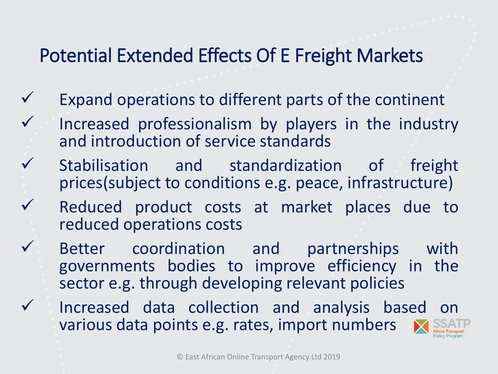## Potential Extended Effects Of E Freight Markets

- Expand operations to different parts of the continent
- Increased professionalism by players in the industry and introduction of service standards
- Stabilisation and standardization of freight prices(subject to conditions e.g. peace, infrastructure)
	- Reduced product costs at market places due to reduced operations costs
	- Better coordination and partnerships with governments bodies to improve efficiency in the sector e.g. through developing relevant policies
- Increased data collection and analysis based on various data points e.g. rates, import numbers

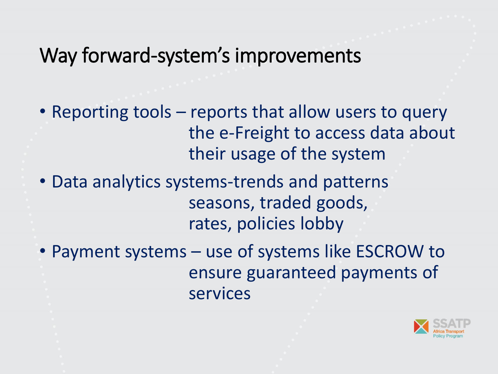# Way forward-system's improvements

- Reporting tools reports that allow users to query the e-Freight to access data about their usage of the system
- Data analytics systems-trends and patterns seasons, traded goods, rates, policies lobby
- Payment systems use of systems like ESCROW to ensure guaranteed payments of services

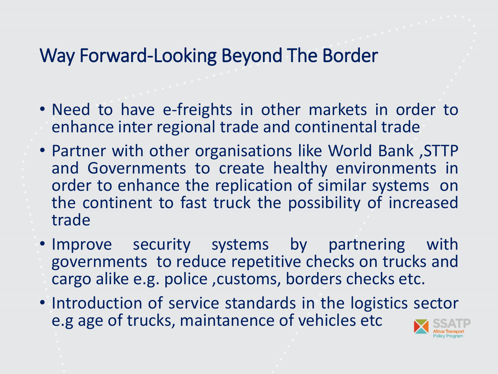## Way Forward-Looking Beyond The Border

- Need to have e-freights in other markets in order to enhance inter regional trade and continental trade
- Partner with other organisations like World Bank ,STTP and Governments to create healthy environments in order to enhance the replication of similar systems on the continent to fast truck the possibility of increased trade
- Improve security systems by partnering with governments to reduce repetitive checks on trucks and cargo alike e.g. police ,customs, borders checks etc.
- Introduction of service standards in the logistics sector e.g age of trucks, maintanence of vehicles etc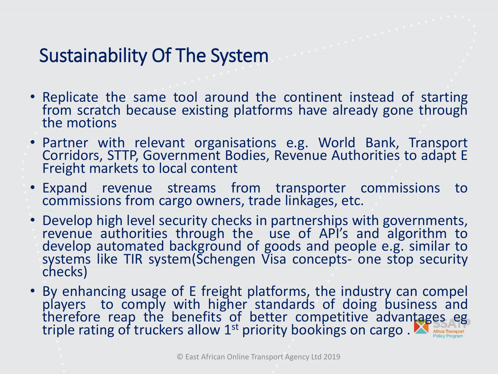# Sustainability Of The System

- Replicate the same tool around the continent instead of starting from scratch because existing platforms have already gone through the motions
- Partner with relevant organisations e.g. World Bank, Transport Corridors, STTP, Government Bodies, Revenue Authorities to adapt E Freight markets to local content
- Expand revenue streams from transporter commissions to commissions from cargo owners, trade linkages, etc.
- Develop high level security checks in partnerships with governments, revenue authorities through the use of API's and algorithm to develop automated background of goods and people e.g. similar to systems like TIR system(Schengen Visa concepts- one stop security checks)
- By enhancing usage of E freight platforms, the industry can compel players to comply with higher standards of doing business and therefore reap the benefits of better competitive advantages eg triple rating of truckers allow  $1<sup>st</sup>$  priority bookings on cargo.